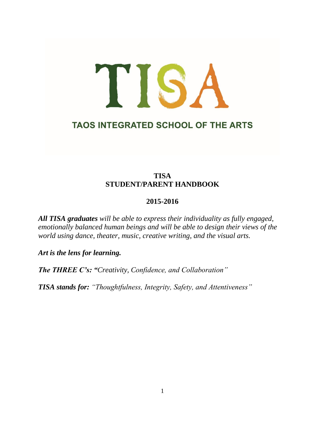# TISA **TAOS INTEGRATED SCHOOL OF THE ARTS**

# **TISA STUDENT/PARENT HANDBOOK**

## **2015-2016**

*All TISA graduates will be able to express their individuality as fully engaged, emotionally balanced human beings and will be able to design their views of the world using dance, theater, music, creative writing, and the visual arts.*

*Art is the lens for learning.*

*The THREE C's: "Creativity, Confidence, and Collaboration"*

*TISA stands for: "Thoughtfulness, Integrity, Safety, and Attentiveness"*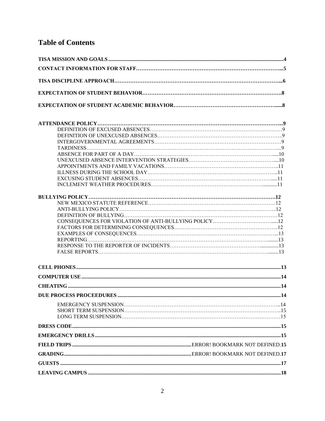# **Table of Contents**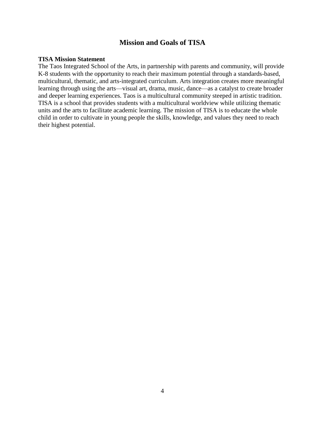## **Mission and Goals of TISA**

#### **TISA Mission Statement**

The Taos Integrated School of the Arts, in partnership with parents and community, will provide K-8 students with the opportunity to reach their maximum potential through a standards-based, multicultural, thematic, and arts-integrated curriculum. Arts integration creates more meaningful learning through using the arts—visual art, drama, music, dance—as a catalyst to create broader and deeper learning experiences. Taos is a multicultural community steeped in artistic tradition. TISA is a school that provides students with a multicultural worldview while utilizing thematic units and the arts to facilitate academic learning. The mission of TISA is to educate the whole child in order to cultivate in young people the skills, knowledge, and values they need to reach their highest potential.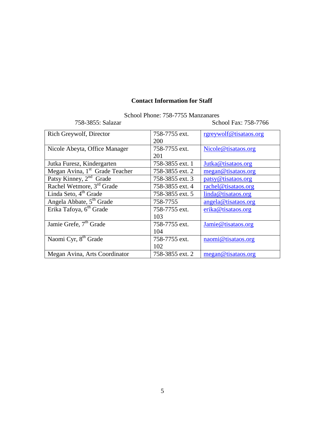## **Contact Information for Staff**

School Phone: 758-7755 Manzanares

758-3855: Salazar School Fax: 758-7766

| Rich Greywolf, Director                    | 758-7755 ext.   | rgreywolf@tisataos.org |
|--------------------------------------------|-----------------|------------------------|
|                                            | 200             |                        |
| Nicole Abeyta, Office Manager              | 758-7755 ext.   | Nicole@tisataos.org    |
|                                            | 201             |                        |
| Jutka Furesz, Kindergarten                 | 758-3855 ext. 1 | Jutka@tisataos.org     |
| Megan Avina, 1 <sup>st</sup> Grade Teacher | 758-3855 ext. 2 | megan@tisataos.org     |
| Patsy Kinney, 2 <sup>nd</sup> Grade        | 758-3855 ext. 3 | patsy@tisataos.org     |
| Rachel Wetmore, 3 <sup>rd</sup> Grade      | 758-3855 ext. 4 | rachel@tisataos.org    |
| Linda Seto, 4 <sup>th</sup> Grade          | 758-3855 ext. 5 | linda@tisataos.org     |
| Angela Abbate, 5 <sup>th</sup> Grade       | 758-7755        | angela@tisataos.org    |
| Erika Tafoya, 6 <sup>th</sup> Grade        | 758-7755 ext.   | erika@tisataos.org     |
|                                            | 103             |                        |
| Jamie Grefe, 7 <sup>th</sup> Grade         | 758-7755 ext.   | Jamie@tisataos.org     |
|                                            | 104             |                        |
| Naomi Cyr, 8 <sup>th</sup> Grade           | 758-7755 ext.   | naomi@tisataos.org     |
|                                            | 102             |                        |
| Megan Avina, Arts Coordinator              | 758-3855 ext. 2 | megan@tisataos.org     |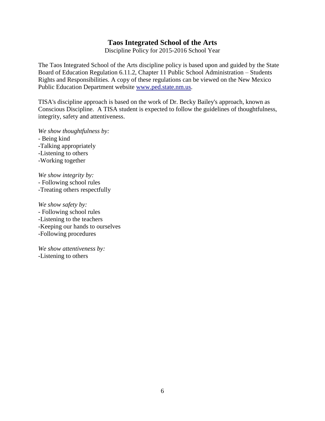## **Taos Integrated School of the Arts**

Discipline Policy for 2015-2016 School Year

The Taos Integrated School of the Arts discipline policy is based upon and guided by the State Board of Education Regulation 6.11.2, Chapter 11 Public School Administration – Students Rights and Responsibilities. A copy of these regulations can be viewed on the New Mexico Public Education Department website [www.ped.state.nm.us.](http://www.ped.state.nm.us/) 

TISA's discipline approach is based on the work of Dr. Becky Bailey's approach, known as Conscious Discipline. A TISA student is expected to follow the guidelines of thoughtfulness, integrity, safety and attentiveness.

*We show thoughtfulness by:* - Being kind -Talking appropriately -Listening to others -Working together

*We show integrity by:* - Following school rules -Treating others respectfully

*We show safety by:* - Following school rules -Listening to the teachers -Keeping our hands to ourselves -Following procedures

*We show attentiveness by:* -Listening to others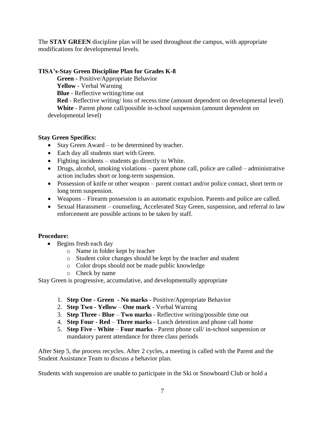The **STAY GREEN** discipline plan will be used throughout the campus, with appropriate modifications for developmental levels.

## **TISA's-Stay Green Discipline Plan for Grades K-8**

**Green -** Positive/Appropriate Behavior **Yellow** - Verbal Warning **Blue** - Reflective writing/time out **Red** - Reflective writing/ loss of recess time (amount dependent on developmental level) **White** - Parent phone call/possible in-school suspension (amount dependent on developmental level)

## **Stay Green Specifics:**

- Stay Green Award to be determined by teacher.
- Each day all students start with Green.
- Fighting incidents students go directly to White.
- Drugs, alcohol, smoking violations parent phone call, police are called administrative action includes short or long-term suspension.
- Possession of knife or other weapon parent contact and/or police contact, short term or long term suspension.
- Weapons Firearm possession is an automatic expulsion. Parents and police are called.
- Sexual Harassment counseling, Accelerated Stay Green, suspension, and referral to law enforcement are possible actions to be taken by staff.

## **Procedure:**

- Begins fresh each day
	- o Name in folder kept by teacher
	- o Student color changes should be kept by the teacher and student
	- o Color drops should not be made public knowledge
	- o Check by name

Stay Green is progressive, accumulative, and developmentally appropriate

- 1. **Step One - Green - No marks -** Positive/Appropriate Behavior
- 2. **Step Two - Yellow One mark** Verbal Warning
- 3. **Step Three - Blue Two marks** Reflective writing/possible time out
- 4. **Step Four - Red Three marks** Lunch detention and phone call home
- 5. **Step Five - White Four marks** Parent phone call/ in-school suspension or mandatory parent attendance for three class periods

After Step 5, the process recycles. After 2 cycles, a meeting is called with the Parent and the Student Assistance Team to discuss a behavior plan.

Students with suspension are unable to participate in the Ski or Snowboard Club or hold a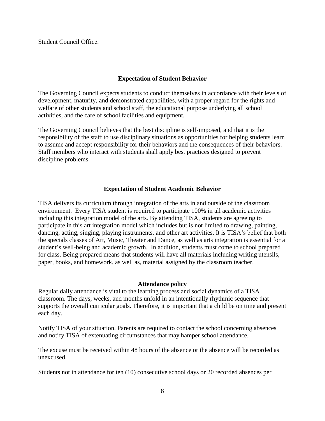Student Council Office.

## **Expectation of Student Behavior**

The Governing Council expects students to conduct themselves in accordance with their levels of development, maturity, and demonstrated capabilities, with a proper regard for the rights and welfare of other students and school staff, the educational purpose underlying all school activities, and the care of school facilities and equipment.

The Governing Council believes that the best discipline is self-imposed, and that it is the responsibility of the staff to use disciplinary situations as opportunities for helping students learn to assume and accept responsibility for their behaviors and the consequences of their behaviors. Staff members who interact with students shall apply best practices designed to prevent discipline problems.

## **Expectation of Student Academic Behavior**

TISA delivers its curriculum through integration of the arts in and outside of the classroom environment. Every TISA student is required to participate 100% in all academic activities including this integration model of the arts. By attending TISA, students are agreeing to participate in this art integration model which includes but is not limited to drawing, painting, dancing, acting, singing, playing instruments, and other art activities. It is TISA's belief that both the specials classes of Art, Music, Theater and Dance, as well as arts integration is essential for a student's well-being and academic growth. In addition, students must come to school prepared for class. Being prepared means that students will have all materials including writing utensils, paper, books, and homework, as well as, material assigned by the classroom teacher.

#### **Attendance policy**

Regular daily attendance is vital to the learning process and social dynamics of a TISA classroom. The days, weeks, and months unfold in an intentionally rhythmic sequence that supports the overall curricular goals. Therefore, it is important that a child be on time and present each day.

Notify TISA of your situation. Parents are required to contact the school concerning absences and notify TISA of extenuating circumstances that may hamper school attendance.

The excuse must be received within 48 hours of the absence or the absence will be recorded as unexcused.

Students not in attendance for ten (10) consecutive school days or 20 recorded absences per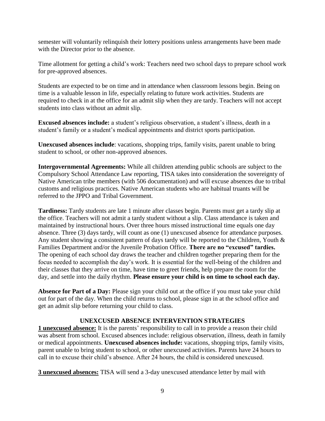semester will voluntarily relinquish their lottery positions unless arrangements have been made with the Director prior to the absence.

Time allotment for getting a child's work: Teachers need two school days to prepare school work for pre-approved absences.

Students are expected to be on time and in attendance when classroom lessons begin. Being on time is a valuable lesson in life, especially relating to future work activities. Students are required to check in at the office for an admit slip when they are tardy. Teachers will not accept students into class without an admit slip.

**Excused absences include:** a student's religious observation, a student's illness, death in a student's family or a student's medical appointments and district sports participation.

**Unexcused absences include**: vacations, shopping trips, family visits, parent unable to bring student to school, or other non-approved absences.

**Intergovernmental Agreements:** While all children attending public schools are subject to the Compulsory School Attendance Law reporting, TISA takes into consideration the sovereignty of Native American tribe members (with 506 documentation) and will excuse absences due to tribal customs and religious practices. Native American students who are habitual truants will be referred to the JPPO and Tribal Government.

**Tardiness:** Tardy students are late 1 minute after classes begin. Parents must get a tardy slip at the office. Teachers will not admit a tardy student without a slip. Class attendance is taken and maintained by instructional hours. Over three hours missed instructional time equals one day absence. Three (3) days tardy, will count as one (1) unexcused absence for attendance purposes. Any student showing a consistent pattern of days tardy will be reported to the Children, Youth & Families Department and/or the Juvenile Probation Office. **There are no "excused" tardies.** The opening of each school day draws the teacher and children together preparing them for the focus needed to accomplish the day's work. It is essential for the well-being of the children and their classes that they arrive on time, have time to greet friends, help prepare the room for the day, and settle into the daily rhythm. **Please ensure your child is on time to school each day.**

**Absence for Part of a Day:** Please sign your child out at the office if you must take your child out for part of the day. When the child returns to school, please sign in at the school office and get an admit slip before returning your child to class.

## **UNEXCUSED ABSENCE INTERVENTION STRATEGIES**

**1 unexcused absence:** It is the parents' responsibility to call in to provide a reason their child was absent from school. Excused absences include: religious observation, illness, death in family or medical appointments. **Unexcused absences include:** vacations, shopping trips, family visits, parent unable to bring student to school, or other unexcused activities. Parents have 24 hours to call in to excuse their child's absence. After 24 hours, the child is considered unexcused.

**3 unexcused absences:** TISA will send a 3-day unexcused attendance letter by mail with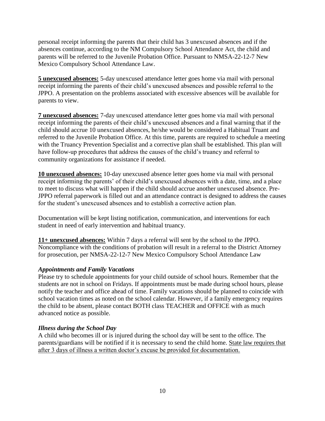personal receipt informing the parents that their child has 3 unexcused absences and if the absences continue, according to the NM Compulsory School Attendance Act, the child and parents will be referred to the Juvenile Probation Office. Pursuant to NMSA-22-12-7 New Mexico Compulsory School Attendance Law.

**5 unexcused absences:** 5-day unexcused attendance letter goes home via mail with personal receipt informing the parents of their child's unexcused absences and possible referral to the JPPO. A presentation on the problems associated with excessive absences will be available for parents to view.

**7 unexcused absences:** 7-day unexcused attendance letter goes home via mail with personal receipt informing the parents of their child's unexcused absences and a final warning that if the child should accrue 10 unexcused absences, he/she would be considered a Habitual Truant and referred to the Juvenile Probation Office. At this time, parents are required to schedule a meeting with the Truancy Prevention Specialist and a corrective plan shall be established. This plan will have follow-up procedures that address the causes of the child's truancy and referral to community organizations for assistance if needed.

**10 unexcused absences:** 10-day unexcused absence letter goes home via mail with personal receipt informing the parents' of their child's unexcused absences with a date, time, and a place to meet to discuss what will happen if the child should accrue another unexcused absence. Pre-JPPO referral paperwork is filled out and an attendance contract is designed to address the causes for the student's unexcused absences and to establish a corrective action plan.

Documentation will be kept listing notification, communication, and interventions for each student in need of early intervention and habitual truancy.

**11+ unexcused absences:** Within 7 days a referral will sent by the school to the JPPO. Noncompliance with the conditions of probation will result in a referral to the District Attorney for prosecution, per NMSA-22-12-7 New Mexico Compulsory School Attendance Law

## *Appointments and Family Vacations*

Please try to schedule appointments for your child outside of school hours. Remember that the students are not in school on Fridays. If appointments must be made during school hours, please notify the teacher and office ahead of time. Family vacations should be planned to coincide with school vacation times as noted on the school calendar. However, if a family emergency requires the child to be absent, please contact BOTH class TEACHER and OFFICE with as much advanced notice as possible.

## *Illness during the School Day*

A child who becomes ill or is injured during the school day will be sent to the office. The parents/guardians will be notified if it is necessary to send the child home. State law requires that after 3 days of illness a written doctor's excuse be provided for documentation.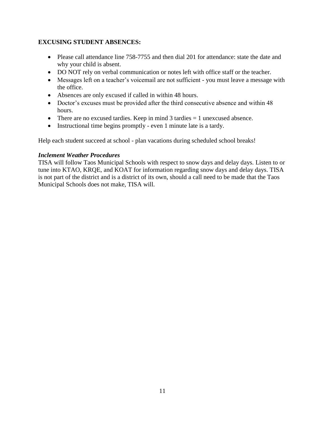## **EXCUSING STUDENT ABSENCES:**

- Please call attendance line 758-7755 and then dial 201 for attendance: state the date and why your child is absent.
- DO NOT rely on verbal communication or notes left with office staff or the teacher.
- Messages left on a teacher's voicemail are not sufficient you must leave a message with the office.
- Absences are only excused if called in within 48 hours.
- Doctor's excuses must be provided after the third consecutive absence and within 48 hours.
- There are no excused tardies. Keep in mind  $3$  tardies  $= 1$  unexcused absence.
- Instructional time begins promptly even 1 minute late is a tardy.

Help each student succeed at school - plan vacations during scheduled school breaks!

## *Inclement Weather Procedures*

TISA will follow Taos Municipal Schools with respect to snow days and delay days. Listen to or tune into KTAO, KRQE, and KOAT for information regarding snow days and delay days. TISA is not part of the district and is a district of its own, should a call need to be made that the Taos Municipal Schools does not make, TISA will.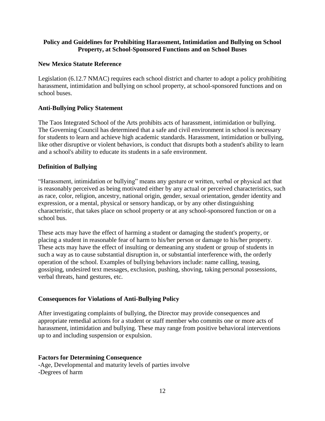## **Policy and Guidelines for Prohibiting Harassment, Intimidation and Bullying on School Property, at School-Sponsored Functions and on School Buses**

## **New Mexico Statute Reference**

Legislation (6.12.7 NMAC) requires each school district and charter to adopt a policy prohibiting harassment, intimidation and bullying on school property, at school-sponsored functions and on school buses.

## **Anti-Bullying Policy Statement**

The Taos Integrated School of the Arts prohibits acts of harassment, intimidation or bullying. The Governing Council has determined that a safe and civil environment in school is necessary for students to learn and achieve high academic standards. Harassment, intimidation or bullying, like other disruptive or violent behaviors, is conduct that disrupts both a student's ability to learn and a school's ability to educate its students in a safe environment.

## **Definition of Bullying**

"Harassment, intimidation or bullying" means any gesture or written, verbal or physical act that is reasonably perceived as being motivated either by any actual or perceived characteristics, such as race, color, religion, ancestry, national origin, gender, sexual orientation, gender identity and expression, or a mental, physical or sensory handicap, or by any other distinguishing characteristic, that takes place on school property or at any school-sponsored function or on a school bus.

These acts may have the effect of harming a student or damaging the student's property, or placing a student in reasonable fear of harm to his/her person or damage to his/her property. These acts may have the effect of insulting or demeaning any student or group of students in such a way as to cause substantial disruption in, or substantial interference with, the orderly operation of the school. Examples of bullying behaviors include: name calling, teasing, gossiping, undesired text messages, exclusion, pushing, shoving, taking personal possessions, verbal threats, hand gestures, etc.

#### **Consequences for Violations of Anti-Bullying Policy**

After investigating complaints of bullying, the Director may provide consequences and appropriate remedial actions for a student or staff member who commits one or more acts of harassment, intimidation and bullying. These may range from positive behavioral interventions up to and including suspension or expulsion.

#### **Factors for Determining Consequence**

-Age, Developmental and maturity levels of parties involve -Degrees of harm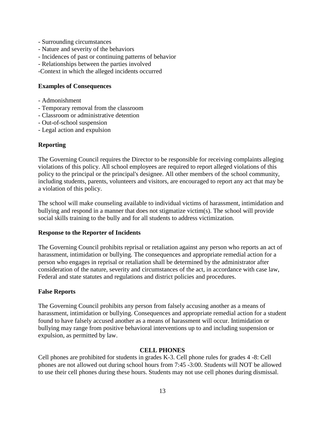- Surrounding circumstances
- Nature and severity of the behaviors
- Incidences of past or continuing patterns of behavior
- Relationships between the parties involved
- -Context in which the alleged incidents occurred

#### **Examples of Consequences**

- Admonishment
- Temporary removal from the classroom
- Classroom or administrative detention
- Out-of-school suspension
- Legal action and expulsion

## **Reporting**

The Governing Council requires the Director to be responsible for receiving complaints alleging violations of this policy. All school employees are required to report alleged violations of this policy to the principal or the principal's designee. All other members of the school community, including students, parents, volunteers and visitors, are encouraged to report any act that may be a violation of this policy.

The school will make counseling available to individual victims of harassment, intimidation and bullying and respond in a manner that does not stigmatize victim(s). The school will provide social skills training to the bully and for all students to address victimization.

#### **Response to the Reporter of Incidents**

The Governing Council prohibits reprisal or retaliation against any person who reports an act of harassment, intimidation or bullying. The consequences and appropriate remedial action for a person who engages in reprisal or retaliation shall be determined by the administrator after consideration of the nature, severity and circumstances of the act, in accordance with case law, Federal and state statutes and regulations and district policies and procedures.

#### **False Reports**

The Governing Council prohibits any person from falsely accusing another as a means of harassment, intimidation or bullying. Consequences and appropriate remedial action for a student found to have falsely accused another as a means of harassment will occur. Intimidation or bullying may range from positive behavioral interventions up to and including suspension or expulsion, as permitted by law.

#### **CELL PHONES**

Cell phones are prohibited for students in grades K-3. Cell phone rules for grades 4 -8: Cell phones are not allowed out during school hours from 7:45 -3:00. Students will NOT be allowed to use their cell phones during these hours. Students may not use cell phones during dismissal.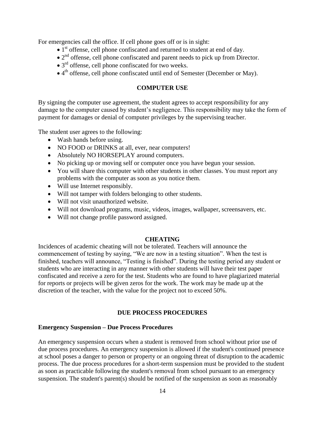For emergencies call the office. If cell phone goes off or is in sight:

- $\bullet$  1<sup>st</sup> offense, cell phone confiscated and returned to student at end of day.
- $\bullet$  2<sup>nd</sup> offense, cell phone confiscated and parent needs to pick up from Director.
- $\bullet$  3<sup>rd</sup> offense, cell phone confiscated for two weeks.
- 4<sup>th</sup> offense, cell phone confiscated until end of Semester (December or May).

## **COMPUTER USE**

By signing the computer use agreement, the student agrees to accept responsibility for any damage to the computer caused by student's negligence. This responsibility may take the form of payment for damages or denial of computer privileges by the supervising teacher.

The student user agrees to the following:

- Wash hands before using.
- NO FOOD or DRINKS at all, ever, near computers!
- Absolutely NO HORSEPLAY around computers.
- No picking up or moving self or computer once you have begun your session.
- You will share this computer with other students in other classes. You must report any problems with the computer as soon as you notice them.
- Will use Internet responsibly.
- Will not tamper with folders belonging to other students.
- Will not visit unauthorized website.
- Will not download programs, music, videos, images, wallpaper, screensavers, etc.
- Will not change profile password assigned.

## **CHEATING**

Incidences of academic cheating will not be tolerated. Teachers will announce the commencement of testing by saying, "We are now in a testing situation". When the test is finished, teachers will announce, "Testing is finished". During the testing period any student or students who are interacting in any manner with other students will have their test paper confiscated and receive a zero for the test. Students who are found to have plagiarized material for reports or projects will be given zeros for the work. The work may be made up at the discretion of the teacher, with the value for the project not to exceed 50%.

## **DUE PROCESS PROCEDURES**

## **Emergency Suspension – Due Process Procedures**

An emergency suspension occurs when a student is removed from school without prior use of due process procedures. An emergency suspension is allowed if the student's continued presence at school poses a danger to person or property or an ongoing threat of disruption to the academic process. The due process procedures for a short-term suspension must be provided to the student as soon as practicable following the student's removal from school pursuant to an emergency suspension. The student's parent(s) should be notified of the suspension as soon as reasonably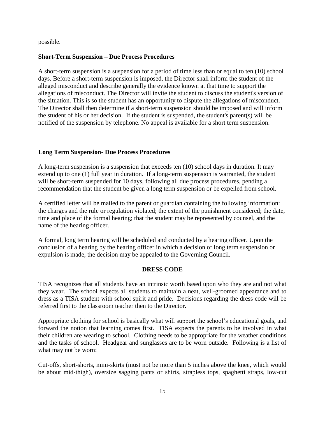possible.

## **Short-Term Suspension – Due Process Procedures**

A short-term suspension is a suspension for a period of time less than or equal to ten (10) school days. Before a short-term suspension is imposed, the Director shall inform the student of the alleged misconduct and describe generally the evidence known at that time to support the allegations of misconduct. The Director will invite the student to discuss the student's version of the situation. This is so the student has an opportunity to dispute the allegations of misconduct. The Director shall then determine if a short-term suspension should be imposed and will inform the student of his or her decision. If the student is suspended, the student's parent(s) will be notified of the suspension by telephone. No appeal is available for a short term suspension.

## **Long Term Suspension- Due Process Procedures**

A long-term suspension is a suspension that exceeds ten (10) school days in duration. It may extend up to one (1) full year in duration. If a long-term suspension is warranted, the student will be short-term suspended for 10 days, following all due process procedures, pending a recommendation that the student be given a long term suspension or be expelled from school.

A certified letter will be mailed to the parent or guardian containing the following information: the charges and the rule or regulation violated; the extent of the punishment considered; the date, time and place of the formal hearing; that the student may be represented by counsel, and the name of the hearing officer.

A formal, long term hearing will be scheduled and conducted by a hearing officer. Upon the conclusion of a hearing by the hearing officer in which a decision of long term suspension or expulsion is made, the decision may be appealed to the Governing Council.

## **DRESS CODE**

TISA recognizes that all students have an intrinsic worth based upon who they are and not what they wear. The school expects all students to maintain a neat, well-groomed appearance and to dress as a TISA student with school spirit and pride. Decisions regarding the dress code will be referred first to the classroom teacher then to the Director.

Appropriate clothing for school is basically what will support the school's educational goals, and forward the notion that learning comes first. TISA expects the parents to be involved in what their children are wearing to school. Clothing needs to be appropriate for the weather conditions and the tasks of school. Headgear and sunglasses are to be worn outside. Following is a list of what may not be worn:

Cut-offs, short-shorts, mini-skirts (must not be more than 5 inches above the knee, which would be about mid-thigh), oversize sagging pants or shirts, strapless tops, spaghetti straps, low-cut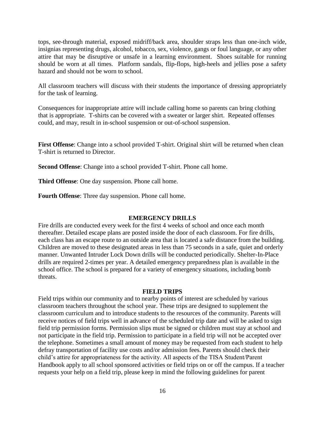tops, see-through material, exposed midriff/back area, shoulder straps less than one-inch wide, insignias representing drugs, alcohol, tobacco, sex, violence, gangs or foul language, or any other attire that may be disruptive or unsafe in a learning environment. Shoes suitable for running should be worn at all times. Platform sandals, flip-flops, high-heels and jellies pose a safety hazard and should not be worn to school.

All classroom teachers will discuss with their students the importance of dressing appropriately for the task of learning.

Consequences for inappropriate attire will include calling home so parents can bring clothing that is appropriate. T-shirts can be covered with a sweater or larger shirt. Repeated offenses could, and may, result in in-school suspension or out-of-school suspension.

**First Offense**: Change into a school provided T-shirt. Original shirt will be returned when clean T-shirt is returned to Director.

**Second Offense**: Change into a school provided T-shirt. Phone call home.

**Third Offense**: One day suspension. Phone call home.

**Fourth Offense**: Three day suspension. Phone call home.

#### **EMERGENCY DRILLS**

Fire drills are conducted every week for the first 4 weeks of school and once each month thereafter. Detailed escape plans are posted inside the door of each classroom. For fire drills, each class has an escape route to an outside area that is located a safe distance from the building. Children are moved to these designated areas in less than 75 seconds in a safe, quiet and orderly manner. Unwanted Intruder Lock Down drills will be conducted periodically. Shelter-In-Place drills are required 2-times per year. A detailed emergency preparedness plan is available in the school office. The school is prepared for a variety of emergency situations, including bomb threats.

#### **FIELD TRIPS**

Field trips within our community and to nearby points of interest are scheduled by various classroom teachers throughout the school year. These trips are designed to supplement the classroom curriculum and to introduce students to the resources of the community. Parents will receive notices of field trips well in advance of the scheduled trip date and will be asked to sign field trip permission forms. Permission slips must be signed or children must stay at school and not participate in the field trip. Permission to participate in a field trip will not be accepted over the telephone. Sometimes a small amount of money may be requested from each student to help defray transportation of facility use costs and/or admission fees. Parents should check their child's attire for appropriateness for the activity. All aspects of the TISA Student/Parent Handbook apply to all school sponsored activities or field trips on or off the campus. If a teacher requests your help on a field trip, please keep in mind the following guidelines for parent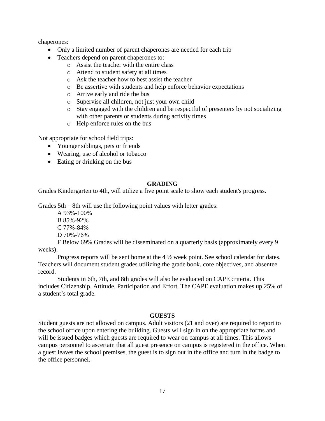chaperones:

- Only a limited number of parent chaperones are needed for each trip
- Teachers depend on parent chaperones to:
	- o Assist the teacher with the entire class
	- o Attend to student safety at all times
	- o Ask the teacher how to best assist the teacher
	- o Be assertive with students and help enforce behavior expectations
	- o Arrive early and ride the bus
	- o Supervise all children, not just your own child
	- o Stay engaged with the children and be respectful of presenters by not socializing with other parents or students during activity times
	- o Help enforce rules on the bus

Not appropriate for school field trips:

- Younger siblings, pets or friends
- Wearing, use of alcohol or tobacco
- Eating or drinking on the bus

## **GRADING**

Grades Kindergarten to 4th, will utilize a five point scale to show each student's progress.

Grades 5th – 8th will use the following point values with letter grades:

A 93%-100% B 85%-92%

C 77%-84%

D 70%-76%

F Below 69% Grades will be disseminated on a quarterly basis (approximately every 9 weeks).

Progress reports will be sent home at the 4 ½ week point. See school calendar for dates. Teachers will document student grades utilizing the grade book, core objectives, and absentee record.

Students in 6th, 7th, and 8th grades will also be evaluated on CAPE criteria. This includes Citizenship, Attitude, Participation and Effort. The CAPE evaluation makes up 25% of a student's total grade.

## **GUESTS**

Student guests are not allowed on campus. Adult visitors (21 and over) are required to report to the school office upon entering the building. Guests will sign in on the appropriate forms and will be issued badges which guests are required to wear on campus at all times. This allows campus personnel to ascertain that all guest presence on campus is registered in the office. When a guest leaves the school premises, the guest is to sign out in the office and turn in the badge to the office personnel.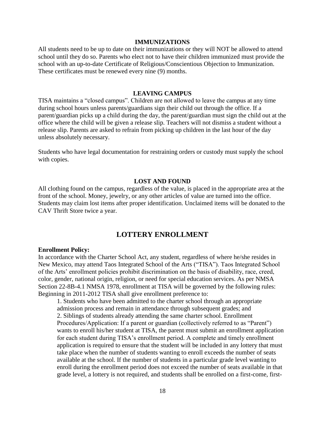#### **IMMUNIZATIONS**

All students need to be up to date on their immunizations or they will NOT be allowed to attend school until they do so. Parents who elect not to have their children immunized must provide the school with an up-to-date Certificate of Religious/Conscientious Objection to Immunization. These certificates must be renewed every nine (9) months.

#### **LEAVING CAMPUS**

TISA maintains a "closed campus". Children are not allowed to leave the campus at any time during school hours unless parents/guardians sign their child out through the office. If a parent/guardian picks up a child during the day, the parent/guardian must sign the child out at the office where the child will be given a release slip. Teachers will not dismiss a student without a release slip. Parents are asked to refrain from picking up children in the last hour of the day unless absolutely necessary.

Students who have legal documentation for restraining orders or custody must supply the school with copies.

#### **LOST AND FOUND**

All clothing found on the campus, regardless of the value, is placed in the appropriate area at the front of the school. Money, jewelry, or any other articles of value are turned into the office. Students may claim lost items after proper identification. Unclaimed items will be donated to the CAV Thrift Store twice a year.

## **LOTTERY ENROLLMENT**

#### **Enrollment Policy:**

In accordance with the Charter School Act, any student, regardless of where he/she resides in New Mexico, may attend Taos Integrated School of the Arts ("TISA"). Taos Integrated School of the Arts' enrollment policies prohibit discrimination on the basis of disability, race, creed, color, gender, national origin, religion, or need for special education services. As per NMSA Section 22-8B-4.1 NMSA 1978, enrollment at TISA will be governed by the following rules: Beginning in 2011-2012 TISA shall give enrollment preference to:

1. Students who have been admitted to the charter school through an appropriate admission process and remain in attendance through subsequent grades; and 2. Siblings of students already attending the same charter school. Enrollment Procedures/Application: If a parent or guardian (collectively referred to as "Parent") wants to enroll his/her student at TISA, the parent must submit an enrollment application for each student during TISA's enrollment period. A complete and timely enrollment application is required to ensure that the student will be included in any lottery that must take place when the number of students wanting to enroll exceeds the number of seats available at the school. If the number of students in a particular grade level wanting to enroll during the enrollment period does not exceed the number of seats available in that grade level, a lottery is not required, and students shall be enrolled on a first-come, first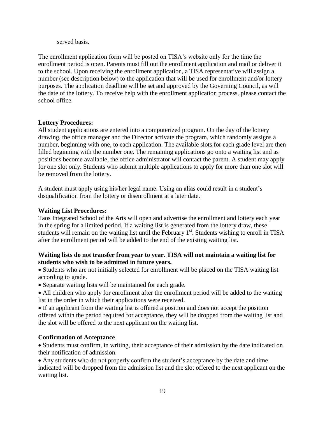served basis.

The enrollment application form will be posted on TISA's website only for the time the enrollment period is open. Parents must fill out the enrollment application and mail or deliver it to the school. Upon receiving the enrollment application, a TISA representative will assign a number (see description below) to the application that will be used for enrollment and/or lottery purposes. The application deadline will be set and approved by the Governing Council, as will the date of the lottery. To receive help with the enrollment application process, please contact the school office.

## **Lottery Procedures:**

All student applications are entered into a computerized program. On the day of the lottery drawing, the office manager and the Director activate the program, which randomly assigns a number, beginning with one, to each application. The available slots for each grade level are then filled beginning with the number one. The remaining applications go onto a waiting list and as positions become available, the office administrator will contact the parent. A student may apply for one slot only. Students who submit multiple applications to apply for more than one slot will be removed from the lottery.

A student must apply using his/her legal name. Using an alias could result in a student's disqualification from the lottery or disenrollment at a later date.

#### **Waiting List Procedures:**

Taos Integrated School of the Arts will open and advertise the enrollment and lottery each year in the spring for a limited period. If a waiting list is generated from the lottery draw, these students will remain on the waiting list until the February  $1<sup>st</sup>$ . Students wishing to enroll in TISA after the enrollment period will be added to the end of the existing waiting list.

## **Waiting lists do not transfer from year to year. TISA will not maintain a waiting list for students who wish to be admitted in future years.**

• Students who are not initially selected for enrollment will be placed on the TISA waiting list according to grade.

- Separate waiting lists will be maintained for each grade.
- All children who apply for enrollment after the enrollment period will be added to the waiting list in the order in which their applications were received.
- If an applicant from the waiting list is offered a position and does not accept the position offered within the period required for acceptance, they will be dropped from the waiting list and the slot will be offered to the next applicant on the waiting list.

## **Confirmation of Acceptance**

 Students must confirm, in writing, their acceptance of their admission by the date indicated on their notification of admission.

 Any students who do not properly confirm the student's acceptance by the date and time indicated will be dropped from the admission list and the slot offered to the next applicant on the waiting list.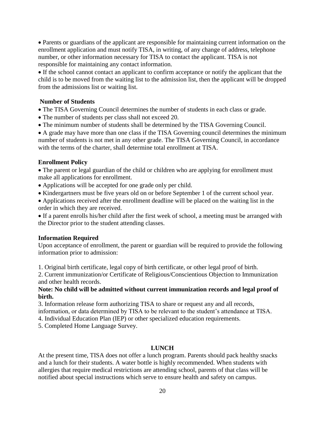Parents or guardians of the applicant are responsible for maintaining current information on the enrollment application and must notify TISA, in writing, of any change of address, telephone number, or other information necessary for TISA to contact the applicant. TISA is not responsible for maintaining any contact information.

 If the school cannot contact an applicant to confirm acceptance or notify the applicant that the child is to be moved from the waiting list to the admission list, then the applicant will be dropped from the admissions list or waiting list.

## **Number of Students**

- The TISA Governing Council determines the number of students in each class or grade.
- The number of students per class shall not exceed 20.
- The minimum number of students shall be determined by the TISA Governing Council.

 A grade may have more than one class if the TISA Governing council determines the minimum number of students is not met in any other grade. The TISA Governing Council, in accordance with the terms of the charter, shall determine total enrollment at TISA.

## **Enrollment Policy**

• The parent or legal guardian of the child or children who are applying for enrollment must make all applications for enrollment.

- Applications will be accepted for one grade only per child.
- Kindergartners must be five years old on or before September 1 of the current school year.
- Applications received after the enrollment deadline will be placed on the waiting list in the order in which they are received.

 If a parent enrolls his/her child after the first week of school, a meeting must be arranged with the Director prior to the student attending classes.

#### **Information Required**

Upon acceptance of enrollment, the parent or guardian will be required to provide the following information prior to admission:

1. Original birth certificate, legal copy of birth certificate, or other legal proof of birth.

2. Current immunization/or Certificate of Religious/Conscientious Objection to Immunization and other health records.

## **Note: No child will be admitted without current immunization records and legal proof of birth.**

3. Information release form authorizing TISA to share or request any and all records, information, or data determined by TISA to be relevant to the student's attendance at TISA.

4. Individual Education Plan (IEP) or other specialized education requirements.

5. Completed Home Language Survey.

## **LUNCH**

At the present time, TISA does not offer a lunch program. Parents should pack healthy snacks and a lunch for their students. A water bottle is highly recommended. When students with allergies that require medical restrictions are attending school, parents of that class will be notified about special instructions which serve to ensure health and safety on campus.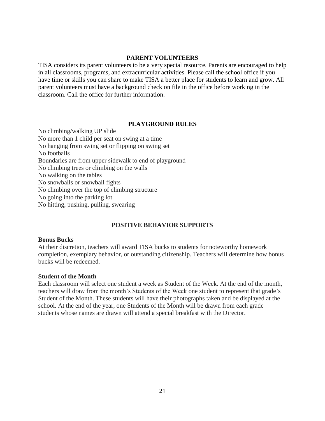#### **PARENT VOLUNTEERS**

TISA considers its parent volunteers to be a very special resource. Parents are encouraged to help in all classrooms, programs, and extracurricular activities. Please call the school office if you have time or skills you can share to make TISA a better place for students to learn and grow. All parent volunteers must have a background check on file in the office before working in the classroom. Call the office for further information.

#### **PLAYGROUND RULES**

No climbing/walking UP slide No more than 1 child per seat on swing at a time No hanging from swing set or flipping on swing set No footballs Boundaries are from upper sidewalk to end of playground No climbing trees or climbing on the walls No walking on the tables No snowballs or snowball fights No climbing over the top of climbing structure No going into the parking lot No hitting, pushing, pulling, swearing

## **POSITIVE BEHAVIOR SUPPORTS**

#### **Bonus Bucks**

At their discretion, teachers will award TISA bucks to students for noteworthy homework completion, exemplary behavior, or outstanding citizenship. Teachers will determine how bonus bucks will be redeemed.

#### **Student of the Month**

Each classroom will select one student a week as Student of the Week. At the end of the month, teachers will draw from the month's Students of the Week one student to represent that grade's Student of the Month. These students will have their photographs taken and be displayed at the school. At the end of the year, one Students of the Month will be drawn from each grade – students whose names are drawn will attend a special breakfast with the Director.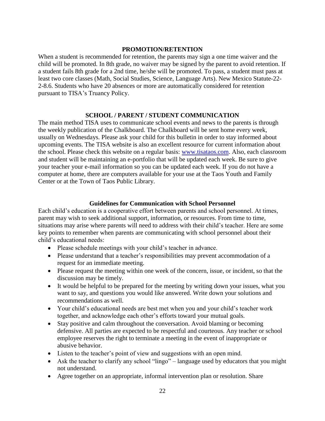#### **PROMOTION/RETENTION**

When a student is recommended for retention, the parents may sign a one time waiver and the child will be promoted. In 8th grade, no waiver may be signed by the parent to avoid retention. If a student fails 8th grade for a 2nd time, he/she will be promoted. To pass, a student must pass at least two core classes (Math, Social Studies, Science, Language Arts). New Mexico Statute-22- 2-8.6. Students who have 20 absences or more are automatically considered for retention pursuant to TISA's Truancy Policy.

#### **SCHOOL / PARENT / STUDENT COMMUNICATION**

The main method TISA uses to communicate school events and news to the parents is through the weekly publication of the Chalkboard. The Chalkboard will be sent home every week, usually on Wednesdays. Please ask your child for this bulletin in order to stay informed about upcoming events. The TISA website is also an excellent resource for current information about the school. Please check this website on a regular basis: [www.tisataos.com.](http://www.tisataos.com/) Also, each classroom and student will be maintaining an e-portfolio that will be updated each week. Be sure to give your teacher your e-mail information so you can be updated each week. If you do not have a computer at home, there are computers available for your use at the Taos Youth and Family Center or at the Town of Taos Public Library.

#### **Guidelines for Communication with School Personnel**

Each child's education is a cooperative effort between parents and school personnel. At times, parent may wish to seek additional support, information, or resources. From time to time, situations may arise where parents will need to address with their child's teacher. Here are some key points to remember when parents are communicating with school personnel about their child's educational needs:

- Please schedule meetings with your child's teacher in advance.
- Please understand that a teacher's responsibilities may prevent accommodation of a request for an immediate meeting.
- Please request the meeting within one week of the concern, issue, or incident, so that the discussion may be timely.
- It would be helpful to be prepared for the meeting by writing down your issues, what you want to say, and questions you would like answered. Write down your solutions and recommendations as well.
- Your child's educational needs are best met when you and your child's teacher work together, and acknowledge each other's efforts toward your mutual goals.
- Stay positive and calm throughout the conversation. Avoid blaming or becoming defensive. All parties are expected to be respectful and courteous. Any teacher or school employee reserves the right to terminate a meeting in the event of inappropriate or abusive behavior.
- Listen to the teacher's point of view and suggestions with an open mind.
- Ask the teacher to clarify any school "lingo" language used by educators that you might not understand.
- Agree together on an appropriate, informal intervention plan or resolution. Share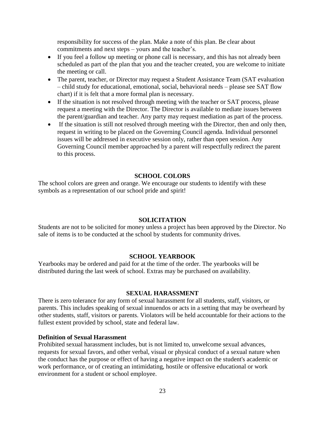responsibility for success of the plan. Make a note of this plan. Be clear about commitments and next steps – yours and the teacher's.

- If you feel a follow up meeting or phone call is necessary, and this has not already been scheduled as part of the plan that you and the teacher created, you are welcome to initiate the meeting or call.
- The parent, teacher, or Director may request a Student Assistance Team (SAT evaluation – child study for educational, emotional, social, behavioral needs – please see SAT flow chart) if it is felt that a more formal plan is necessary.
- If the situation is not resolved through meeting with the teacher or SAT process, please request a meeting with the Director. The Director is available to mediate issues between the parent/guardian and teacher. Any party may request mediation as part of the process.
- If the situation is still not resolved through meeting with the Director, then and only then, request in writing to be placed on the Governing Council agenda. Individual personnel issues will be addressed in executive session only, rather than open session. Any Governing Council member approached by a parent will respectfully redirect the parent to this process.

#### **SCHOOL COLORS**

The school colors are green and orange. We encourage our students to identify with these symbols as a representation of our school pride and spirit!

#### **SOLICITATION**

Students are not to be solicited for money unless a project has been approved by the Director. No sale of items is to be conducted at the school by students for community drives.

#### **SCHOOL YEARBOOK**

Yearbooks may be ordered and paid for at the time of the order. The yearbooks will be distributed during the last week of school. Extras may be purchased on availability.

#### **SEXUAL HARASSMENT**

There is zero tolerance for any form of sexual harassment for all students, staff, visitors, or parents. This includes speaking of sexual innuendos or acts in a setting that may be overheard by other students, staff, visitors or parents. Violators will be held accountable for their actions to the fullest extent provided by school, state and federal law.

#### **Definition of Sexual Harassment**

Prohibited sexual harassment includes, but is not limited to, unwelcome sexual advances, requests for sexual favors, and other verbal, visual or physical conduct of a sexual nature when the conduct has the purpose or effect of having a negative impact on the student's academic or work performance, or of creating an intimidating, hostile or offensive educational or work environment for a student or school employee.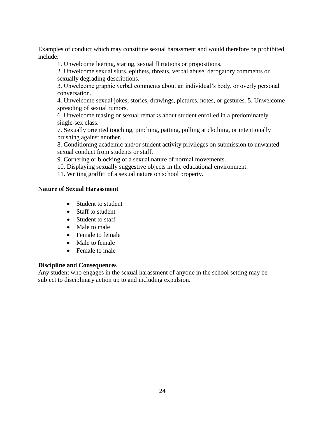Examples of conduct which may constitute sexual harassment and would therefore be prohibited include:

1. Unwelcome leering, staring, sexual flirtations or propositions.

2. Unwelcome sexual slurs, epithets, threats, verbal abuse, derogatory comments or sexually degrading descriptions.

3. Unwelcome graphic verbal comments about an individual's body, or overly personal conversation.

4. Unwelcome sexual jokes, stories, drawings, pictures, notes, or gestures. 5. Unwelcome spreading of sexual rumors.

6. Unwelcome teasing or sexual remarks about student enrolled in a predominately single-sex class.

7. Sexually oriented touching, pinching, patting, pulling at clothing, or intentionally brushing against another.

8. Conditioning academic and/or student activity privileges on submission to unwanted sexual conduct from students or staff.

9. Cornering or blocking of a sexual nature of normal movements.

10. Displaying sexually suggestive objects in the educational environment.

11. Writing graffiti of a sexual nature on school property.

## **Nature of Sexual Harassment**

- Student to student
- Staff to student
- Student to staff
- Male to male
- Female to female
- Male to female
- Female to male

#### **Discipline and Consequences**

Any student who engages in the sexual harassment of anyone in the school setting may be subject to disciplinary action up to and including expulsion.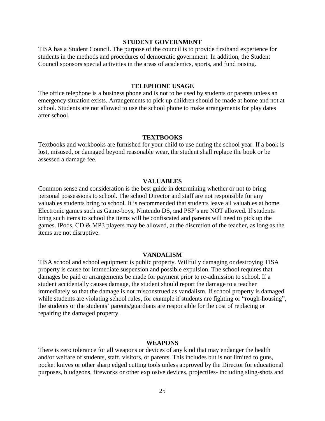#### **STUDENT GOVERNMENT**

TISA has a Student Council. The purpose of the council is to provide firsthand experience for students in the methods and procedures of democratic government. In addition, the Student Council sponsors special activities in the areas of academics, sports, and fund raising.

#### **TELEPHONE USAGE**

The office telephone is a business phone and is not to be used by students or parents unless an emergency situation exists. Arrangements to pick up children should be made at home and not at school. Students are not allowed to use the school phone to make arrangements for play dates after school.

#### **TEXTBOOKS**

Textbooks and workbooks are furnished for your child to use during the school year. If a book is lost, misused, or damaged beyond reasonable wear, the student shall replace the book or be assessed a damage fee.

#### **VALUABLES**

Common sense and consideration is the best guide in determining whether or not to bring personal possessions to school. The school Director and staff are not responsible for any valuables students bring to school. It is recommended that students leave all valuables at home. Electronic games such as Game-boys, Nintendo DS, and PSP's are NOT allowed. If students bring such items to school the items will be confiscated and parents will need to pick up the games. IPods, CD & MP3 players may be allowed, at the discretion of the teacher, as long as the items are not disruptive.

#### **VANDALISM**

TISA school and school equipment is public property. Willfully damaging or destroying TISA property is cause for immediate suspension and possible expulsion. The school requires that damages be paid or arrangements be made for payment prior to re-admission to school. If a student accidentally causes damage, the student should report the damage to a teacher immediately so that the damage is not misconstrued as vandalism. If school property is damaged while students are violating school rules, for example if students are fighting or "rough-housing", the students or the students' parents/guardians are responsible for the cost of replacing or repairing the damaged property.

#### **WEAPONS**

There is zero tolerance for all weapons or devices of any kind that may endanger the health and/or welfare of students, staff, visitors, or parents. This includes but is not limited to guns, pocket knives or other sharp edged cutting tools unless approved by the Director for educational purposes, bludgeons, fireworks or other explosive devices, projectiles- including sling-shots and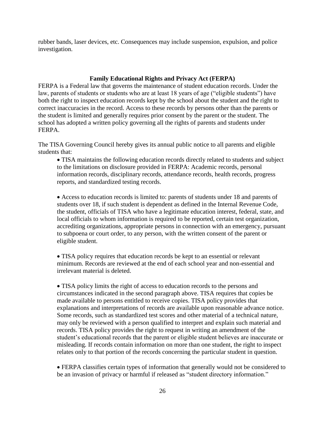rubber bands, laser devices, etc. Consequences may include suspension, expulsion, and police investigation.

## **Family Educational Rights and Privacy Act (FERPA)**

FERPA is a Federal law that governs the maintenance of student education records. Under the law, parents of students or students who are at least 18 years of age ("eligible students") have both the right to inspect education records kept by the school about the student and the right to correct inaccuracies in the record. Access to these records by persons other than the parents or the student is limited and generally requires prior consent by the parent or the student. The school has adopted a written policy governing all the rights of parents and students under FERPA.

The TISA Governing Council hereby gives its annual public notice to all parents and eligible students that:

 TISA maintains the following education records directly related to students and subject to the limitations on disclosure provided in FERPA: Academic records, personal information records, disciplinary records, attendance records, health records, progress reports, and standardized testing records.

 Access to education records is limited to: parents of students under 18 and parents of students over 18, if such student is dependent as defined in the Internal Revenue Code, the student, officials of TISA who have a legitimate education interest, federal, state, and local officials to whom information is required to be reported, certain test organization, accrediting organizations, appropriate persons in connection with an emergency, pursuant to subpoena or court order, to any person, with the written consent of the parent or eligible student.

 TISA policy requires that education records be kept to an essential or relevant minimum. Records are reviewed at the end of each school year and non-essential and irrelevant material is deleted.

 TISA policy limits the right of access to education records to the persons and circumstances indicated in the second paragraph above. TISA requires that copies be made available to persons entitled to receive copies. TISA policy provides that explanations and interpretations of records are available upon reasonable advance notice. Some records, such as standardized test scores and other material of a technical nature, may only be reviewed with a person qualified to interpret and explain such material and records. TISA policy provides the right to request in writing an amendment of the student's educational records that the parent or eligible student believes are inaccurate or misleading. If records contain information on more than one student, the right to inspect relates only to that portion of the records concerning the particular student in question.

 FERPA classifies certain types of information that generally would not be considered to be an invasion of privacy or harmful if released as "student directory information."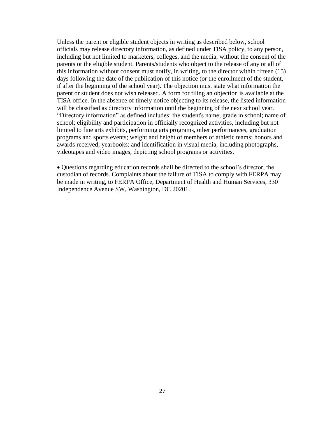Unless the parent or eligible student objects in writing as described below, school officials may release directory information, as defined under TISA policy, to any person, including but not limited to marketers, colleges, and the media, without the consent of the parents or the eligible student. Parents/students who object to the release of any or all of this information without consent must notify, in writing, to the director within fifteen (15) days following the date of the publication of this notice (or the enrollment of the student, if after the beginning of the school year). The objection must state what information the parent or student does not wish released. A form for filing an objection is available at the TISA office. In the absence of timely notice objecting to its release, the listed information will be classified as directory information until the beginning of the next school year. "Directory information" as defined includes: the student's name; grade in school; name of school; eligibility and participation in officially recognized activities, including but not limited to fine arts exhibits, performing arts programs, other performances, graduation programs and sports events; weight and height of members of athletic teams; honors and awards received; yearbooks; and identification in visual media, including photographs, videotapes and video images, depicting school programs or activities.

 Questions regarding education records shall be directed to the school's director, the custodian of records. Complaints about the failure of TISA to comply with FERPA may be made in writing, to FERPA Office, Department of Health and Human Services, 330 Independence Avenue SW, Washington, DC 20201.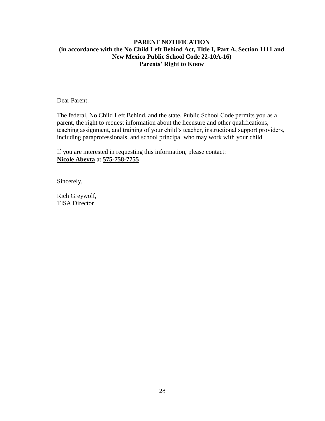## **PARENT NOTIFICATION (in accordance with the No Child Left Behind Act, Title I, Part A, Section 1111 and New Mexico Public School Code 22-10A-16) Parents' Right to Know**

Dear Parent:

The federal, No Child Left Behind, and the state, Public School Code permits you as a parent, the right to request information about the licensure and other qualifications, teaching assignment, and training of your child's teacher, instructional support providers, including paraprofessionals, and school principal who may work with your child.

If you are interested in requesting this information, please contact: **Nicole Abeyta** at **575-758-7755**

Sincerely,

Rich Greywolf, TISA Director